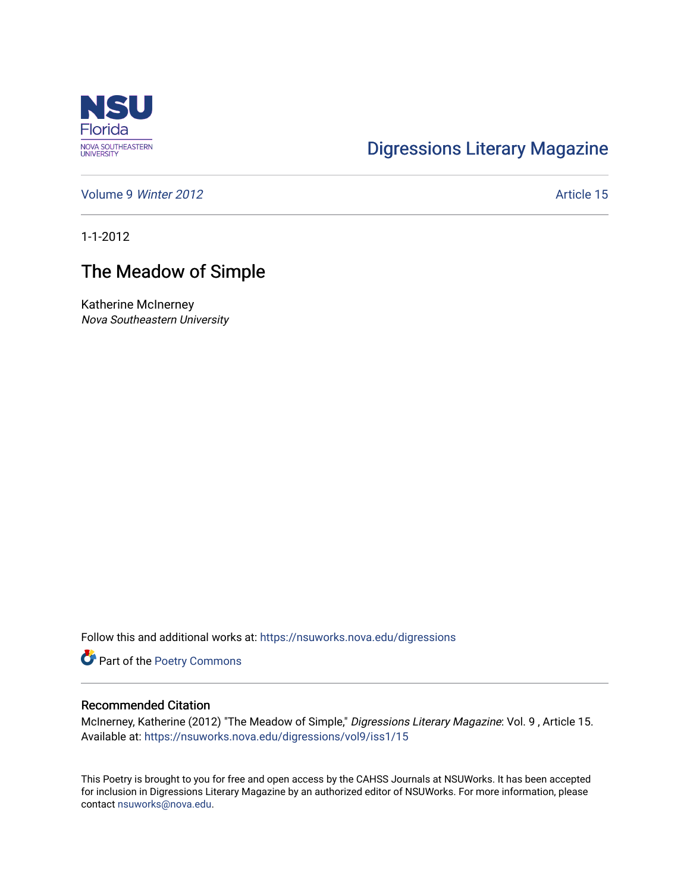

## [Digressions Literary Magazine](https://nsuworks.nova.edu/digressions)

[Volume 9](https://nsuworks.nova.edu/digressions/vol9) Winter 2012 **Article 15** 

1-1-2012

## The Meadow of Simple

Katherine McInerney Nova Southeastern University

Follow this and additional works at: [https://nsuworks.nova.edu/digressions](https://nsuworks.nova.edu/digressions?utm_source=nsuworks.nova.edu%2Fdigressions%2Fvol9%2Fiss1%2F15&utm_medium=PDF&utm_campaign=PDFCoverPages) 

Part of the [Poetry Commons](http://network.bepress.com/hgg/discipline/1153?utm_source=nsuworks.nova.edu%2Fdigressions%2Fvol9%2Fiss1%2F15&utm_medium=PDF&utm_campaign=PDFCoverPages) 

## Recommended Citation

McInerney, Katherine (2012) "The Meadow of Simple," Digressions Literary Magazine: Vol. 9 , Article 15. Available at: [https://nsuworks.nova.edu/digressions/vol9/iss1/15](https://nsuworks.nova.edu/digressions/vol9/iss1/15?utm_source=nsuworks.nova.edu%2Fdigressions%2Fvol9%2Fiss1%2F15&utm_medium=PDF&utm_campaign=PDFCoverPages) 

This Poetry is brought to you for free and open access by the CAHSS Journals at NSUWorks. It has been accepted for inclusion in Digressions Literary Magazine by an authorized editor of NSUWorks. For more information, please contact [nsuworks@nova.edu.](mailto:nsuworks@nova.edu)